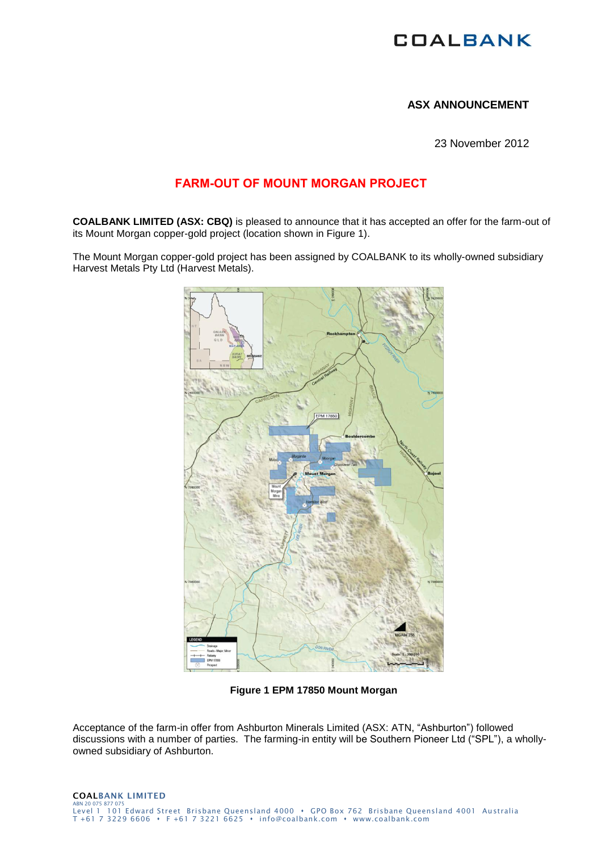# **COALBANK**

## **ASX ANNOUNCEMENT**

23 November 2012

# **FARM-OUT OF MOUNT MORGAN PROJECT**

**COALBANK LIMITED (ASX: CBQ)** is pleased to announce that it has accepted an offer for the farm-out of its Mount Morgan copper-gold project (location shown in Figure 1).

The Mount Morgan copper-gold project has been assigned by COALBANK to its wholly-owned subsidiary Harvest Metals Pty Ltd (Harvest Metals).



**Figure 1 EPM 17850 Mount Morgan**

Acceptance of the farm-in offer from Ashburton Minerals Limited (ASX: ATN, "Ashburton") followed discussions with a number of parties. The farming-in entity will be Southern Pioneer Ltd ("SPL"), a whollyowned subsidiary of Ashburton.